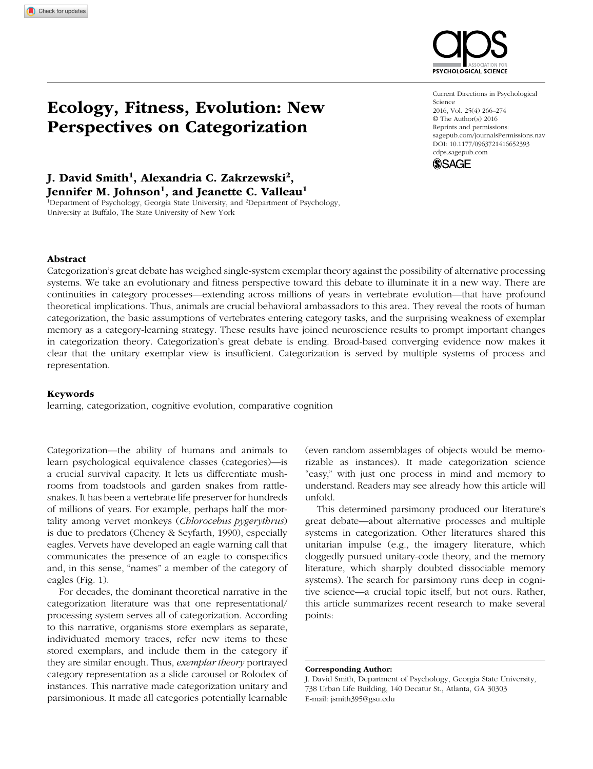Current Directions in Psychological Science 2016, Vol. 25(4) 266–274 © The Author(s) 2016 Reprints and permissions: sagepub.com/journalsPermissions.nav DOI: 10.1177/0963721416652393 cdps.sagepub.com



Ecology, Fitness, Evolution: New Perspectives on Categorization

J. David Smith<sup>1</sup>, Alexandria C. Zakrzewski<sup>2</sup>, Jennifer M. Johnson<sup>1</sup>, and Jeanette C. Valleau<sup>1</sup> <sup>1</sup>Department of Psychology, Georgia State University, and <sup>2</sup>Department of Psychology,

University at Buffalo, The State University of New York

## Abstract

Categorization's great debate has weighed single-system exemplar theory against the possibility of alternative processing systems. We take an evolutionary and fitness perspective toward this debate to illuminate it in a new way. There are continuities in category processes—extending across millions of years in vertebrate evolution—that have profound theoretical implications. Thus, animals are crucial behavioral ambassadors to this area. They reveal the roots of human categorization, the basic assumptions of vertebrates entering category tasks, and the surprising weakness of exemplar memory as a category-learning strategy. These results have joined neuroscience results to prompt important changes in categorization theory. Categorization's great debate is ending. Broad-based converging evidence now makes it clear that the unitary exemplar view is insufficient. Categorization is served by multiple systems of process and representation.

#### Keywords

learning, categorization, cognitive evolution, comparative cognition

Categorization—the ability of humans and animals to learn psychological equivalence classes (categories)—is a crucial survival capacity. It lets us differentiate mushrooms from toadstools and garden snakes from rattlesnakes. It has been a vertebrate life preserver for hundreds of millions of years. For example, perhaps half the mortality among vervet monkeys (*Chlorocebus pygerythrus*) is due to predators (Cheney & Seyfarth, 1990), especially eagles. Vervets have developed an eagle warning call that communicates the presence of an eagle to conspecifics and, in this sense, "names" a member of the category of eagles (Fig. 1).

For decades, the dominant theoretical narrative in the categorization literature was that one representational/ processing system serves all of categorization. According to this narrative, organisms store exemplars as separate, individuated memory traces, refer new items to these stored exemplars, and include them in the category if they are similar enough. Thus, *exemplar theory* portrayed category representation as a slide carousel or Rolodex of instances. This narrative made categorization unitary and parsimonious. It made all categories potentially learnable

(even random assemblages of objects would be memorizable as instances). It made categorization science "easy," with just one process in mind and memory to understand. Readers may see already how this article will unfold.

This determined parsimony produced our literature's great debate—about alternative processes and multiple systems in categorization. Other literatures shared this unitarian impulse (e.g., the imagery literature, which doggedly pursued unitary-code theory, and the memory literature, which sharply doubted dissociable memory systems). The search for parsimony runs deep in cognitive science—a crucial topic itself, but not ours. Rather, this article summarizes recent research to make several points:

### Corresponding Author:

J. David Smith, Department of Psychology, Georgia State University, 738 Urban Life Building, 140 Decatur St., Atlanta, GA 30303 E-mail: jsmith395@gsu.edu

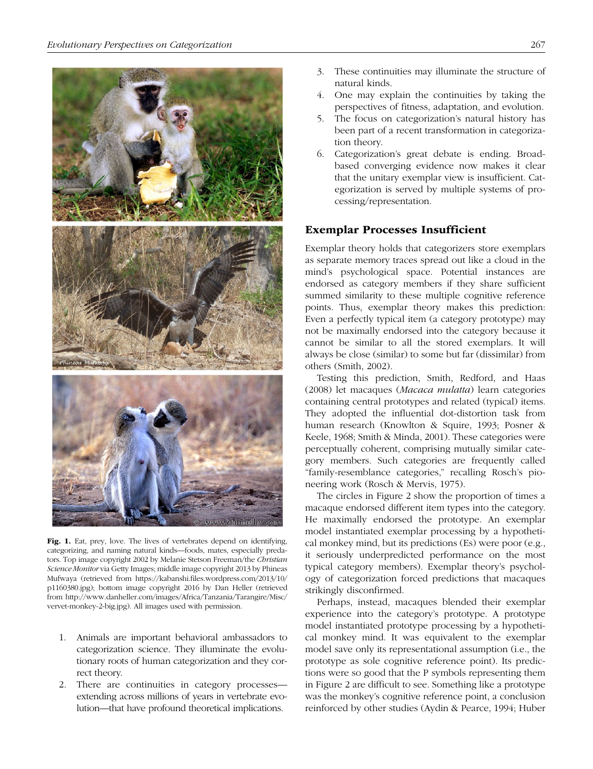

Fig. 1. Eat, prey, love. The lives of vertebrates depend on identifying, categorizing, and naming natural kinds—foods, mates, especially predators. Top image copyright 2002 by Melanie Stetson Freeman/the *Christian Science Monitor* via Getty Images; middle image copyright 2013 by Phineas Mufwaya (retrieved from https://kabanshi.files.wordpress.com/2013/10/ [p1160380.jpg\); bottom image copyright 2016 by Dan Heller \(retrieved](https://kabanshi.files.wordpress.com/2013/10/p1160380.jpg)  [from http://www.danheller.com/images/Africa/Tanzania/Tarangire/Misc/](http://www.danheller.com/images/Africa/Tanzania/Tarangire/Misc/vervet-monkey-2-big.jpg) vervet-monkey-2-big.jpg). All images used with permission.

- 1. Animals are important behavioral ambassadors to categorization science. They illuminate the evolutionary roots of human categorization and they correct theory.
- 2. There are continuities in category processes extending across millions of years in vertebrate evolution—that have profound theoretical implications.
- 3. These continuities may illuminate the structure of natural kinds.
- 4. One may explain the continuities by taking the perspectives of fitness, adaptation, and evolution.
- 5. The focus on categorization's natural history has been part of a recent transformation in categorization theory.
- 6. Categorization's great debate is ending. Broadbased converging evidence now makes it clear that the unitary exemplar view is insufficient. Categorization is served by multiple systems of processing/representation.

## Exemplar Processes Insufficient

Exemplar theory holds that categorizers store exemplars as separate memory traces spread out like a cloud in the mind's psychological space. Potential instances are endorsed as category members if they share sufficient summed similarity to these multiple cognitive reference points. Thus, exemplar theory makes this prediction: Even a perfectly typical item (a category prototype) may not be maximally endorsed into the category because it cannot be similar to all the stored exemplars. It will always be close (similar) to some but far (dissimilar) from others (Smith, 2002).

Testing this prediction, Smith, Redford, and Haas (2008) let macaques (*Macaca mulatta*) learn categories containing central prototypes and related (typical) items. They adopted the influential dot-distortion task from human research (Knowlton & Squire, 1993; Posner & Keele, 1968; Smith & Minda, 2001). These categories were perceptually coherent, comprising mutually similar category members. Such categories are frequently called "family-resemblance categories," recalling Rosch's pioneering work (Rosch & Mervis, 1975).

The circles in Figure 2 show the proportion of times a macaque endorsed different item types into the category. He maximally endorsed the prototype. An exemplar model instantiated exemplar processing by a hypothetical monkey mind, but its predictions (Es) were poor (e.g., it seriously underpredicted performance on the most typical category members). Exemplar theory's psychology of categorization forced predictions that macaques strikingly disconfirmed.

Perhaps, instead, macaques blended their exemplar experience into the category's prototype. A prototype model instantiated prototype processing by a hypothetical monkey mind. It was equivalent to the exemplar model save only its representational assumption (i.e., the prototype as sole cognitive reference point). Its predictions were so good that the P symbols representing them in Figure 2 are difficult to see. Something like a prototype was the monkey's cognitive reference point, a conclusion reinforced by other studies (Aydin & Pearce, 1994; Huber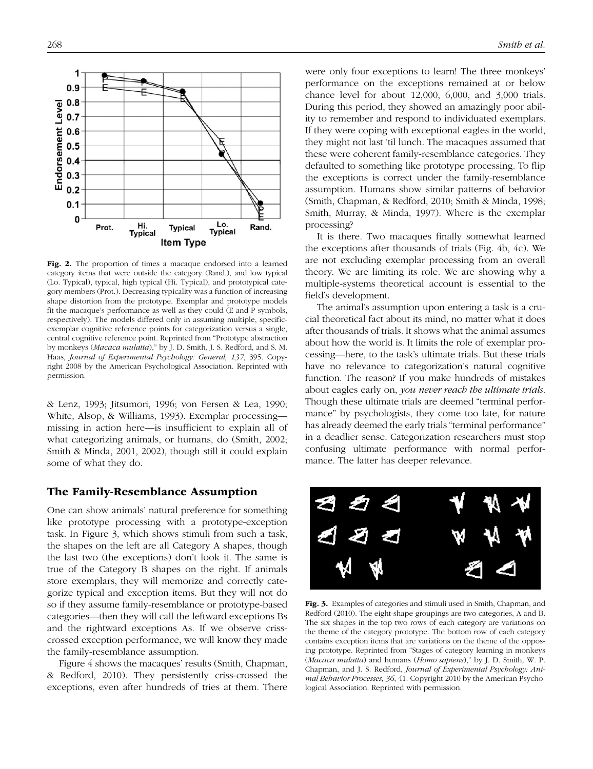

Fig. 2. The proportion of times a macaque endorsed into a learned category items that were outside the category (Rand.), and low typical (Lo. Typical), typical, high typical (Hi. Typical), and prototypical category members (Prot.). Decreasing typicality was a function of increasing shape distortion from the prototype. Exemplar and prototype models fit the macaque's performance as well as they could (E and P symbols, respectively). The models differed only in assuming multiple, specificexemplar cognitive reference points for categorization versus a single, central cognitive reference point. Reprinted from "Prototype abstraction by monkeys (*Macaca mulatta*)," by J. D. Smith, J. S. Redford, and S. M. Haas, *Journal of Experimental Psychology: General, 137*, 395. Copyright 2008 by the American Psychological Association. Reprinted with permission.

& Lenz, 1993; Jitsumori, 1996; von Fersen & Lea, 1990; White, Alsop, & Williams, 1993). Exemplar processing missing in action here—is insufficient to explain all of what categorizing animals, or humans, do (Smith, 2002; Smith & Minda, 2001, 2002), though still it could explain some of what they do.

## The Family-Resemblance Assumption

One can show animals' natural preference for something like prototype processing with a prototype-exception task. In Figure 3, which shows stimuli from such a task, the shapes on the left are all Category A shapes, though the last two (the exceptions) don't look it. The same is true of the Category B shapes on the right. If animals store exemplars, they will memorize and correctly categorize typical and exception items. But they will not do so if they assume family-resemblance or prototype-based categories—then they will call the leftward exceptions Bs and the rightward exceptions As. If we observe crisscrossed exception performance, we will know they made the family-resemblance assumption.

Figure 4 shows the macaques' results (Smith, Chapman, & Redford, 2010). They persistently criss-crossed the exceptions, even after hundreds of tries at them. There were only four exceptions to learn! The three monkeys' performance on the exceptions remained at or below chance level for about 12,000, 6,000, and 3,000 trials. During this period, they showed an amazingly poor ability to remember and respond to individuated exemplars. If they were coping with exceptional eagles in the world, they might not last 'til lunch. The macaques assumed that these were coherent family-resemblance categories. They defaulted to something like prototype processing. To flip the exceptions is correct under the family-resemblance assumption. Humans show similar patterns of behavior (Smith, Chapman, & Redford, 2010; Smith & Minda, 1998; Smith, Murray, & Minda, 1997). Where is the exemplar processing?

It is there. Two macaques finally somewhat learned the exceptions after thousands of trials (Fig. 4b, 4c). We are not excluding exemplar processing from an overall theory. We are limiting its role. We are showing why a multiple-systems theoretical account is essential to the field's development.

The animal's assumption upon entering a task is a crucial theoretical fact about its mind, no matter what it does after thousands of trials. It shows what the animal assumes about how the world is. It limits the role of exemplar processing—here, to the task's ultimate trials. But these trials have no relevance to categorization's natural cognitive function. The reason? If you make hundreds of mistakes about eagles early on, *you never reach the ultimate trials*. Though these ultimate trials are deemed "terminal performance" by psychologists, they come too late, for nature has already deemed the early trials "terminal performance" in a deadlier sense. Categorization researchers must stop confusing ultimate performance with normal performance. The latter has deeper relevance.



Fig. 3. Examples of categories and stimuli used in Smith, Chapman, and Redford (2010). The eight-shape groupings are two categories, A and B. The six shapes in the top two rows of each category are variations on the theme of the category prototype. The bottom row of each category contains exception items that are variations on the theme of the opposing prototype. Reprinted from "Stages of category learning in monkeys (*Macaca mulatta*) and humans (*Homo sapiens*)," by J. D. Smith, W. P. Chapman, and J. S. Redford, *Journal of Experimental Psychology: Animal Behavior Processes, 36*, 41. Copyright 2010 by the American Psychological Association. Reprinted with permission.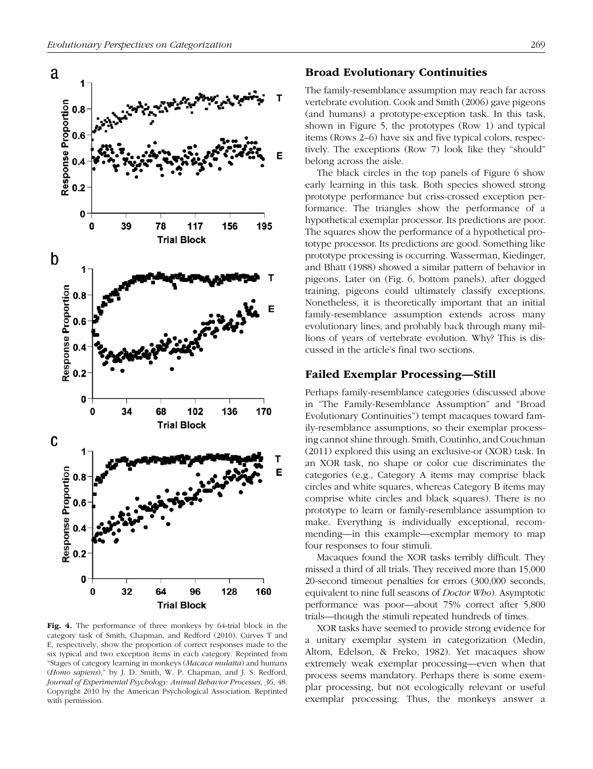

Fig. 4. The performance of three monkeys by 64-trial block in the category task of Smith, Chapman, and Redford (2010). Curves T and E, respectively, show the proportion of correct responses made to the six typical and two exception items in each category. Reprinted from "Stages of category learning in monkeys (*Macaca mulatta*) and humans (*Homo sapiens*)," by J. D. Smith, W. P. Chapman, and J. S. Redford, *Journal of Experimental Psychology: Animal Behavior Processes, 36*, 48. Copyright 2010 by the American Psychological Association. Reprinted with permission.

## Broad Evolutionary Continuities

The family-resemblance assumption may reach far across vertebrate evolution. Cook and Smith (2006) gave pigeons (and humans) a prototype-exception task. In this task, shown in Figure 5, the prototypes (Row 1) and typical items (Rows 2–6) have six and five typical colors, respectively. The exceptions (Row 7) look like they "should" belong across the aisle.

The black circles in the top panels of Figure 6 show early learning in this task. Both species showed strong prototype performance but criss-crossed exception performance. The triangles show the performance of a hypothetical exemplar processor. Its predictions are poor. The squares show the performance of a hypothetical prototype processor. Its predictions are good. Something like prototype processing is occurring. Wasserman, Kiedinger, and Bhatt (1988) showed a similar pattern of behavior in pigeons. Later on (Fig. 6, bottom panels), after dogged training, pigeons could ultimately classify exceptions. Nonetheless, it is theoretically important that an initial family-resemblance assumption extends across many evolutionary lines, and probably back through many millions of years of vertebrate evolution. Why? This is discussed in the article's final two sections.

## Failed Exemplar Processing—Still

Perhaps family-resemblance categories (discussed above in "The Family-Resemblance Assumption" and "Broad Evolutionary Continuities") tempt macaques toward family-resemblance assumptions, so their exemplar processing cannot shine through. Smith, Coutinho, and Couchman (2011) explored this using an exclusive-or (XOR) task. In an XOR task, no shape or color cue discriminates the categories (e.g., Category A items may comprise black circles and white squares, whereas Category B items may comprise white circles and black squares). There is no prototype to learn or family-resemblance assumption to make. Everything is individually exceptional, recommending—in this example—exemplar memory to map four responses to four stimuli.

Macaques found the XOR tasks terribly difficult. They missed a third of all trials. They received more than 15,000 20-second timeout penalties for errors (300,000 seconds, equivalent to nine full seasons of *Doctor Who*). Asymptotic performance was poor—about 75% correct after 5,800 trials—though the stimuli repeated hundreds of times.

XOR tasks have seemed to provide strong evidence for a unitary exemplar system in categorization (Medin, Altom, Edelson, & Freko, 1982). Yet macaques show extremely weak exemplar processing—even when that process seems mandatory. Perhaps there is some exemplar processing, but not ecologically relevant or useful exemplar processing. Thus, the monkeys answer a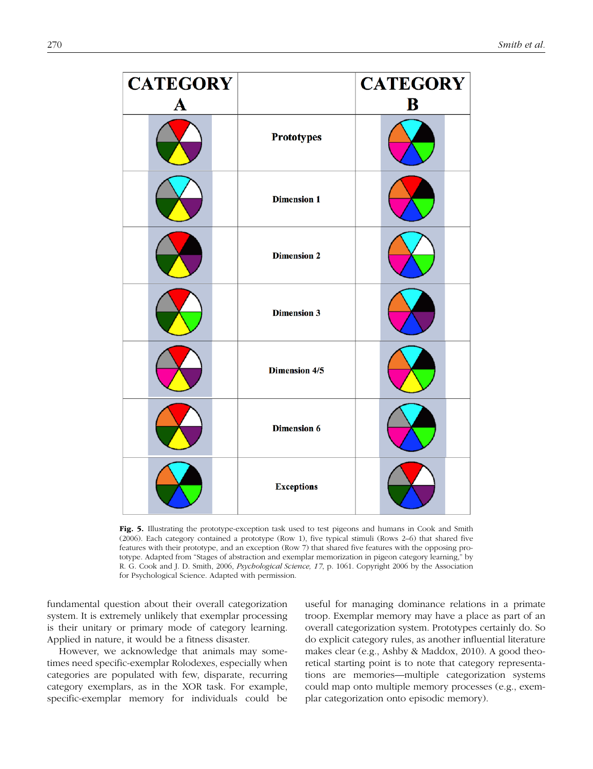

Fig. 5. Illustrating the prototype-exception task used to test pigeons and humans in Cook and Smith (2006). Each category contained a prototype (Row 1), five typical stimuli (Rows 2–6) that shared five features with their prototype, and an exception (Row 7) that shared five features with the opposing prototype. Adapted from "Stages of abstraction and exemplar memorization in pigeon category learning," by R. G. Cook and J. D. Smith, 2006, *Psychological Science, 17*, p. 1061. Copyright 2006 by the Association for Psychological Science. Adapted with permission.

fundamental question about their overall categorization system. It is extremely unlikely that exemplar processing is their unitary or primary mode of category learning. Applied in nature, it would be a fitness disaster.

However, we acknowledge that animals may sometimes need specific-exemplar Rolodexes, especially when categories are populated with few, disparate, recurring category exemplars, as in the XOR task. For example, specific-exemplar memory for individuals could be

useful for managing dominance relations in a primate troop. Exemplar memory may have a place as part of an overall categorization system. Prototypes certainly do. So do explicit category rules, as another influential literature makes clear (e.g., Ashby & Maddox, 2010). A good theoretical starting point is to note that category representations are memories—multiple categorization systems could map onto multiple memory processes (e.g., exemplar categorization onto episodic memory).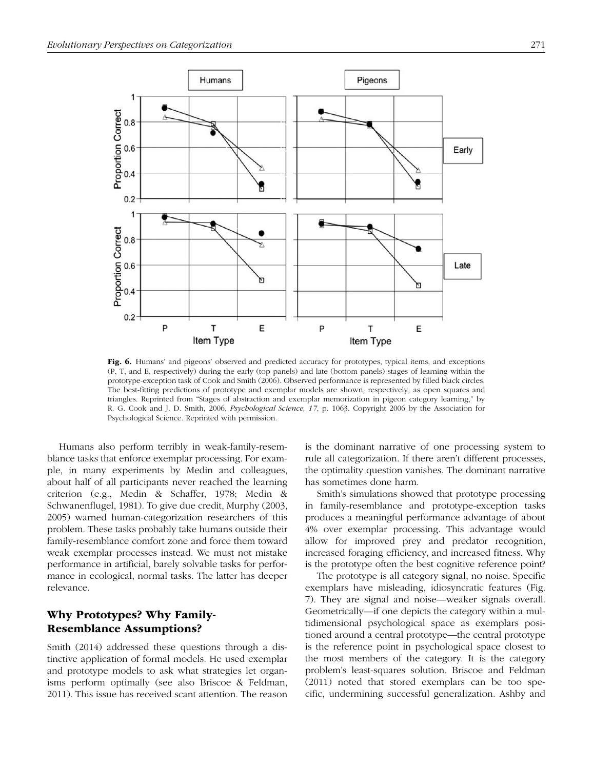

Fig. 6. Humans' and pigeons' observed and predicted accuracy for prototypes, typical items, and exceptions (P, T, and E, respectively) during the early (top panels) and late (bottom panels) stages of learning within the prototype-exception task of Cook and Smith (2006). Observed performance is represented by filled black circles. The best-fitting predictions of prototype and exemplar models are shown, respectively, as open squares and triangles. Reprinted from "Stages of abstraction and exemplar memorization in pigeon category learning," by R. G. Cook and J. D. Smith, 2006, *Psychological Science, 17*, p. 1063. Copyright 2006 by the Association for Psychological Science. Reprinted with permission.

Humans also perform terribly in weak-family-resemblance tasks that enforce exemplar processing. For example, in many experiments by Medin and colleagues, about half of all participants never reached the learning criterion (e.g., Medin & Schaffer, 1978; Medin & Schwanenflugel, 1981). To give due credit, Murphy (2003, 2005) warned human-categorization researchers of this problem. These tasks probably take humans outside their family-resemblance comfort zone and force them toward weak exemplar processes instead. We must not mistake performance in artificial, barely solvable tasks for performance in ecological, normal tasks. The latter has deeper relevance.

# Why Prototypes? Why Family-Resemblance Assumptions?

Smith (2014) addressed these questions through a distinctive application of formal models. He used exemplar and prototype models to ask what strategies let organisms perform optimally (see also Briscoe & Feldman, 2011). This issue has received scant attention. The reason is the dominant narrative of one processing system to rule all categorization. If there aren't different processes, the optimality question vanishes. The dominant narrative has sometimes done harm.

Smith's simulations showed that prototype processing in family-resemblance and prototype-exception tasks produces a meaningful performance advantage of about 4% over exemplar processing. This advantage would allow for improved prey and predator recognition, increased foraging efficiency, and increased fitness. Why is the prototype often the best cognitive reference point?

The prototype is all category signal, no noise. Specific exemplars have misleading, idiosyncratic features (Fig. 7). They are signal and noise—weaker signals overall. Geometrically—if one depicts the category within a multidimensional psychological space as exemplars positioned around a central prototype—the central prototype is the reference point in psychological space closest to the most members of the category. It is the category problem's least-squares solution. Briscoe and Feldman (2011) noted that stored exemplars can be too specific, undermining successful generalization. Ashby and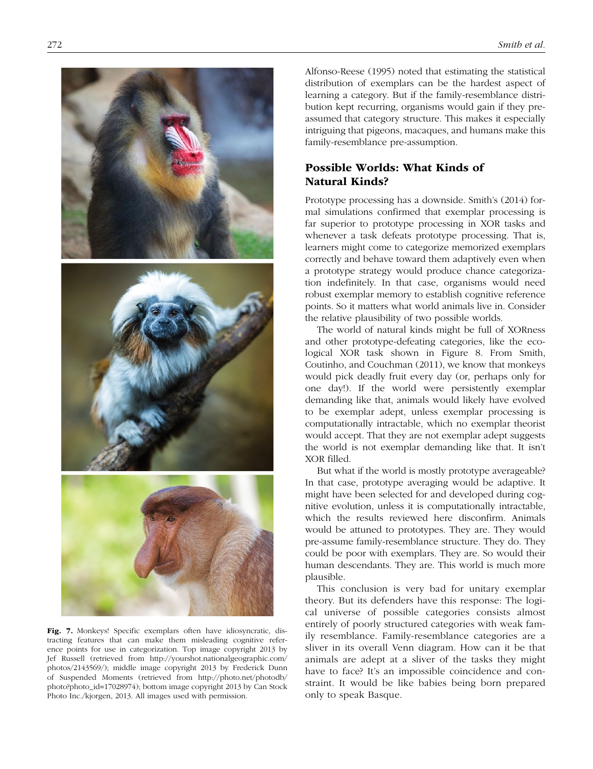

Fig. 7. Monkeys! Specific exemplars often have idiosyncratic, distracting features that can make them misleading cognitive reference points for use in categorization. Top image copyright 2013 by Jef Russell (retrieved from http://yourshot.nationalgeographic.com/ [photos/2143569/\); middle image copyright 2013 by Frederick Dunn](http://yourshot.nationalgeographic.com/photos/2143569/)  [of Suspended Moments \(retrieved from http://photo.net/photodb/](http://photo.net/photodb/photo?photo_id=17028974) photo?photo\_id=17028974); bottom image copyright 2013 by Can Stock Photo Inc./kjorgen, 2013. All images used with permission.

Alfonso-Reese (1995) noted that estimating the statistical distribution of exemplars can be the hardest aspect of learning a category. But if the family-resemblance distribution kept recurring, organisms would gain if they preassumed that category structure. This makes it especially intriguing that pigeons, macaques, and humans make this family-resemblance pre-assumption.

# Possible Worlds: What Kinds of Natural Kinds?

Prototype processing has a downside. Smith's (2014) formal simulations confirmed that exemplar processing is far superior to prototype processing in XOR tasks and whenever a task defeats prototype processing. That is, learners might come to categorize memorized exemplars correctly and behave toward them adaptively even when a prototype strategy would produce chance categorization indefinitely. In that case, organisms would need robust exemplar memory to establish cognitive reference points. So it matters what world animals live in. Consider the relative plausibility of two possible worlds.

The world of natural kinds might be full of XORness and other prototype-defeating categories, like the ecological XOR task shown in Figure 8. From Smith, Coutinho, and Couchman (2011), we know that monkeys would pick deadly fruit every day (or, perhaps only for one day!). If the world were persistently exemplar demanding like that, animals would likely have evolved to be exemplar adept, unless exemplar processing is computationally intractable, which no exemplar theorist would accept. That they are not exemplar adept suggests the world is not exemplar demanding like that. It isn't XOR filled.

But what if the world is mostly prototype averageable? In that case, prototype averaging would be adaptive. It might have been selected for and developed during cognitive evolution, unless it is computationally intractable, which the results reviewed here disconfirm. Animals would be attuned to prototypes. They are. They would pre-assume family-resemblance structure. They do. They could be poor with exemplars. They are. So would their human descendants. They are. This world is much more plausible.

This conclusion is very bad for unitary exemplar theory. But its defenders have this response: The logical universe of possible categories consists almost entirely of poorly structured categories with weak family resemblance. Family-resemblance categories are a sliver in its overall Venn diagram. How can it be that animals are adept at a sliver of the tasks they might have to face? It's an impossible coincidence and constraint. It would be like babies being born prepared only to speak Basque.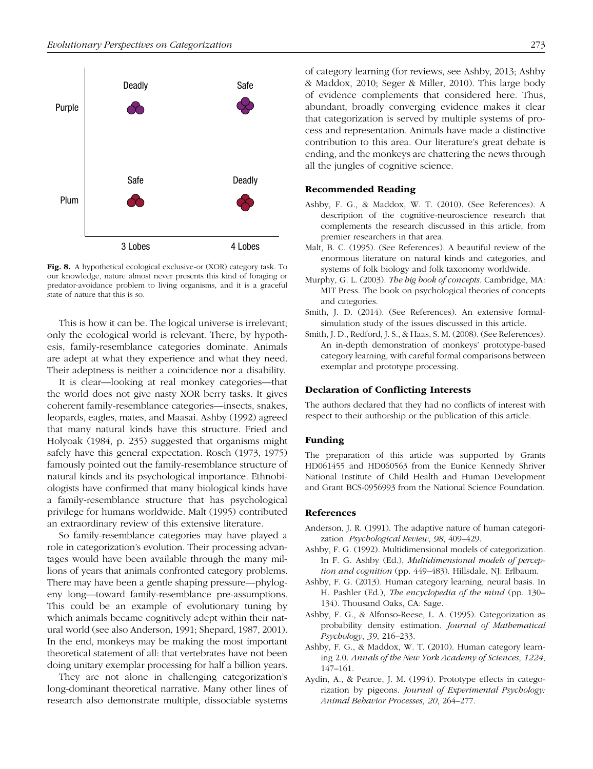

Fig. 8. A hypothetical ecological exclusive-or (XOR) category task. To our knowledge, nature almost never presents this kind of foraging or predator-avoidance problem to living organisms, and it is a graceful state of nature that this is so.

This is how it can be. The logical universe is irrelevant; only the ecological world is relevant. There, by hypothesis, family-resemblance categories dominate. Animals are adept at what they experience and what they need. Their adeptness is neither a coincidence nor a disability.

It is clear—looking at real monkey categories—that the world does not give nasty XOR berry tasks. It gives coherent family-resemblance categories—insects, snakes, leopards, eagles, mates, and Maasai. Ashby (1992) agreed that many natural kinds have this structure. Fried and Holyoak (1984, p. 235) suggested that organisms might safely have this general expectation. Rosch (1973, 1975) famously pointed out the family-resemblance structure of natural kinds and its psychological importance. Ethnobiologists have confirmed that many biological kinds have a family-resemblance structure that has psychological privilege for humans worldwide. Malt (1995) contributed an extraordinary review of this extensive literature.

So family-resemblance categories may have played a role in categorization's evolution. Their processing advantages would have been available through the many millions of years that animals confronted category problems. There may have been a gentle shaping pressure—phylogeny long—toward family-resemblance pre-assumptions. This could be an example of evolutionary tuning by which animals became cognitively adept within their natural world (see also Anderson, 1991; Shepard, 1987, 2001). In the end, monkeys may be making the most important theoretical statement of all: that vertebrates have not been doing unitary exemplar processing for half a billion years.

They are not alone in challenging categorization's long-dominant theoretical narrative. Many other lines of research also demonstrate multiple, dissociable systems of category learning (for reviews, see Ashby, 2013; Ashby & Maddox, 2010; Seger & Miller, 2010). This large body of evidence complements that considered here. Thus, abundant, broadly converging evidence makes it clear that categorization is served by multiple systems of process and representation. Animals have made a distinctive contribution to this area. Our literature's great debate is ending, and the monkeys are chattering the news through all the jungles of cognitive science.

#### Recommended Reading

- Ashby, F. G., & Maddox, W. T. (2010). (See References). A description of the cognitive-neuroscience research that complements the research discussed in this article, from premier researchers in that area.
- Malt, B. C. (1995). (See References). A beautiful review of the enormous literature on natural kinds and categories, and systems of folk biology and folk taxonomy worldwide.
- Murphy, G. L. (2003). *The big book of concepts*. Cambridge, MA: MIT Press. The book on psychological theories of concepts and categories.
- Smith, J. D. (2014). (See References). An extensive formalsimulation study of the issues discussed in this article.
- Smith, J. D., Redford, J. S., & Haas, S. M. (2008). (See References). An in-depth demonstration of monkeys' prototype-based category learning, with careful formal comparisons between exemplar and prototype processing.

#### Declaration of Conflicting Interests

The authors declared that they had no conflicts of interest with respect to their authorship or the publication of this article.

#### Funding

The preparation of this article was supported by Grants HD061455 and HD060563 from the Eunice Kennedy Shriver National Institute of Child Health and Human Development and Grant BCS-0956993 from the National Science Foundation.

## References

- Anderson, J. R. (1991). The adaptive nature of human categorization. *Psychological Review*, *98*, 409–429.
- Ashby, F. G. (1992). Multidimensional models of categorization. In F. G. Ashby (Ed.), *Multidimensional models of perception and cognition* (pp. 449–483). Hillsdale, NJ: Erlbaum.
- Ashby, F. G. (2013). Human category learning, neural basis. In H. Pashler (Ed.), *The encyclopedia of the mind* (pp. 130– 134). Thousand Oaks, CA: Sage.
- Ashby, F. G., & Alfonso-Reese, L. A. (1995). Categorization as probability density estimation. *Journal of Mathematical Psychology*, *39*, 216–233.
- Ashby, F. G., & Maddox, W. T. (2010). Human category learning 2.0. *Annals of the New York Academy of Sciences*, *1224*, 147–161.
- Aydin, A., & Pearce, J. M. (1994). Prototype effects in categorization by pigeons. *Journal of Experimental Psychology: Animal Behavior Processes*, *20*, 264–277.